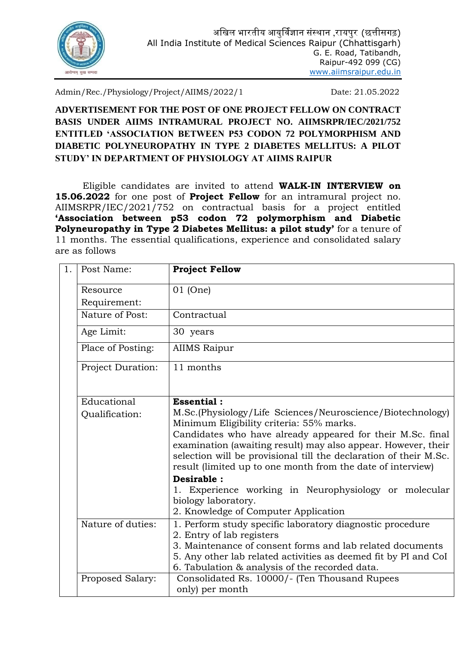

Admin/Rec./Physiology/Project/AIIMS/2022/1 Date: 21.05.2022

**ADVERTISEMENT FOR THE POST OF ONE PROJECT FELLOW ON CONTRACT BASIS UNDER AIIMS INTRAMURAL PROJECT NO. AIIMSRPR/IEC/2021/752 ENTITLED 'ASSOCIATION BETWEEN P53 CODON 72 POLYMORPHISM AND DIABETIC POLYNEUROPATHY IN TYPE 2 DIABETES MELLITUS: A PILOT STUDY' IN DEPARTMENT OF PHYSIOLOGY AT AIIMS RAIPUR**

Eligible candidates are invited to attend **WALK-IN INTERVIEW on 15.06.2022** for one post of **Project Fellow** for an intramural project no. AIIMSRPR/IEC/2021/752 on contractual basis for a project entitled **'Association between p53 codon 72 polymorphism and Diabetic Polyneuropathy in Type 2 Diabetes Mellitus: a pilot study'** for a tenure of 11 months. The essential qualifications, experience and consolidated salary are as follows

| 1. | Post Name:                    | <b>Project Fellow</b>                                                                                                                                                                                                                                                                                                                                                                          |
|----|-------------------------------|------------------------------------------------------------------------------------------------------------------------------------------------------------------------------------------------------------------------------------------------------------------------------------------------------------------------------------------------------------------------------------------------|
|    | Resource<br>Requirement:      | $01$ (One)                                                                                                                                                                                                                                                                                                                                                                                     |
|    | Nature of Post:               | Contractual                                                                                                                                                                                                                                                                                                                                                                                    |
|    | Age Limit:                    | 30 years                                                                                                                                                                                                                                                                                                                                                                                       |
|    | Place of Posting:             | <b>AIIMS Raipur</b>                                                                                                                                                                                                                                                                                                                                                                            |
|    | Project Duration:             | 11 months                                                                                                                                                                                                                                                                                                                                                                                      |
|    | Educational<br>Qualification: | <b>Essential:</b><br>M.Sc.(Physiology/Life Sciences/Neuroscience/Biotechnology)<br>Minimum Eligibility criteria: 55% marks.<br>Candidates who have already appeared for their M.Sc. final<br>examination (awaiting result) may also appear. However, their<br>selection will be provisional till the declaration of their M.Sc.<br>result (limited up to one month from the date of interview) |
|    |                               | Desirable :<br>1. Experience working in Neurophysiology or molecular<br>biology laboratory.<br>2. Knowledge of Computer Application                                                                                                                                                                                                                                                            |
|    | Nature of duties:             | 1. Perform study specific laboratory diagnostic procedure<br>2. Entry of lab registers<br>3. Maintenance of consent forms and lab related documents<br>5. Any other lab related activities as deemed fit by PI and CoI<br>6. Tabulation & analysis of the recorded data.                                                                                                                       |
|    | Proposed Salary:              | Consolidated Rs. 10000/- (Ten Thousand Rupees<br>only) per month                                                                                                                                                                                                                                                                                                                               |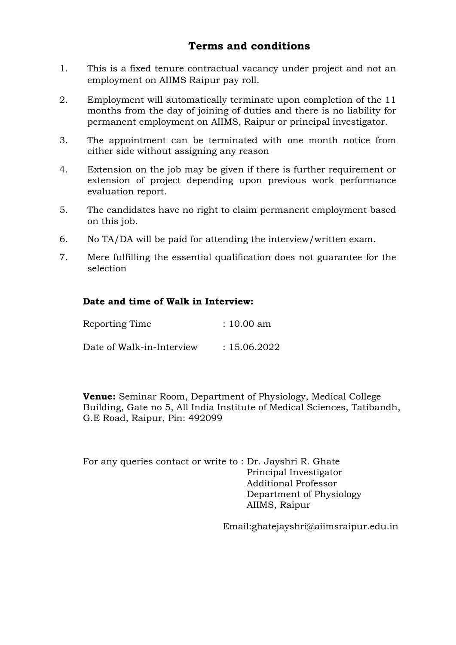## **Terms and conditions**

- 1. This is a fixed tenure contractual vacancy under project and not an employment on AIIMS Raipur pay roll.
- 2. Employment will automatically terminate upon completion of the 11 months from the day of joining of duties and there is no liability for permanent employment on AIIMS, Raipur or principal investigator.
- 3. The appointment can be terminated with one month notice from either side without assigning any reason
- 4. Extension on the job may be given if there is further requirement or extension of project depending upon previous work performance evaluation report.
- 5. The candidates have no right to claim permanent employment based on this job.
- 6. No TA/DA will be paid for attending the interview/written exam.
- 7. Mere fulfilling the essential qualification does not guarantee for the selection

#### **Date and time of Walk in Interview:**

| Reporting Time            | $: 10.00$ am |
|---------------------------|--------------|
| Date of Walk-in-Interview | : 15.06.2022 |

**Venue:** Seminar Room, Department of Physiology, Medical College Building, Gate no 5, All India Institute of Medical Sciences, Tatibandh, G.E Road, Raipur, Pin: 492099

For any queries contact or write to : Dr. Jayshri R. Ghate Principal Investigator Additional Professor Department of Physiology AIIMS, Raipur

Email:ghatejayshri@aiimsraipur.edu.in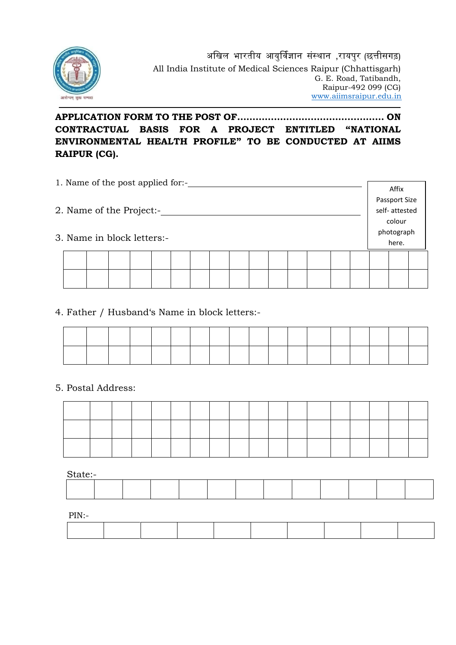

### **APPLICATION FORM TO THE POST OF………………………………………… ON CONTRACTUAL BASIS FOR A PROJECT ENTITLED "NATIONAL ENVIRONMENTAL HEALTH PROFILE" TO BE CONDUCTED AT AIIMS RAIPUR (CG).**

| 1. Name of the post applied for:- | Affix         |               |  |
|-----------------------------------|---------------|---------------|--|
|                                   |               | Passport Size |  |
| 2. Name of the Project:-          | self-attested |               |  |
|                                   |               | colour        |  |
|                                   | photograph    |               |  |
| 3. Name in block letters:-        | here.         |               |  |
|                                   |               |               |  |
|                                   |               |               |  |
|                                   |               |               |  |
|                                   |               |               |  |

#### 4. Father / Husband's Name in block letters:-

#### 5. Postal Address:

State:-

| ------- |  |  |  |  |  |  |  |  |  |  |  |  |
|---------|--|--|--|--|--|--|--|--|--|--|--|--|
|         |  |  |  |  |  |  |  |  |  |  |  |  |
|         |  |  |  |  |  |  |  |  |  |  |  |  |
|         |  |  |  |  |  |  |  |  |  |  |  |  |
|         |  |  |  |  |  |  |  |  |  |  |  |  |
|         |  |  |  |  |  |  |  |  |  |  |  |  |
|         |  |  |  |  |  |  |  |  |  |  |  |  |

PIN:-

| $P \cup V =$<br>. |  |  |  |  |  |
|-------------------|--|--|--|--|--|
|                   |  |  |  |  |  |
|                   |  |  |  |  |  |
|                   |  |  |  |  |  |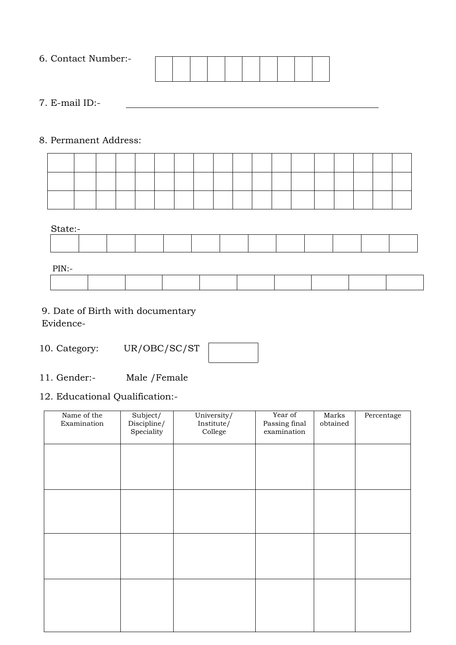| 6. Contact Number:- |  |  |  |  |  |
|---------------------|--|--|--|--|--|
|                     |  |  |  |  |  |
|                     |  |  |  |  |  |
|                     |  |  |  |  |  |
|                     |  |  |  |  |  |

7. E-mail ID:-

#### 8. Permanent Address:



PIN:-

| - -<br>. |  |  |  |  |  |  |  |  |  |  |  |  |
|----------|--|--|--|--|--|--|--|--|--|--|--|--|
|          |  |  |  |  |  |  |  |  |  |  |  |  |
|          |  |  |  |  |  |  |  |  |  |  |  |  |

# 9. Date of Birth with documentary

Evidence-

- 10. Category: UR/OBC/SC/ST
- 11. Gender:- Male /Female

### 12. Educational Qualification:-

| Name of the<br>Examination | Subject/<br>Discipline/<br>Speciality | University/<br>Institute/<br>College | Year of<br>Passing final<br>examination | Marks<br>obtained | Percentage |
|----------------------------|---------------------------------------|--------------------------------------|-----------------------------------------|-------------------|------------|
|                            |                                       |                                      |                                         |                   |            |
|                            |                                       |                                      |                                         |                   |            |
|                            |                                       |                                      |                                         |                   |            |
|                            |                                       |                                      |                                         |                   |            |
|                            |                                       |                                      |                                         |                   |            |
|                            |                                       |                                      |                                         |                   |            |